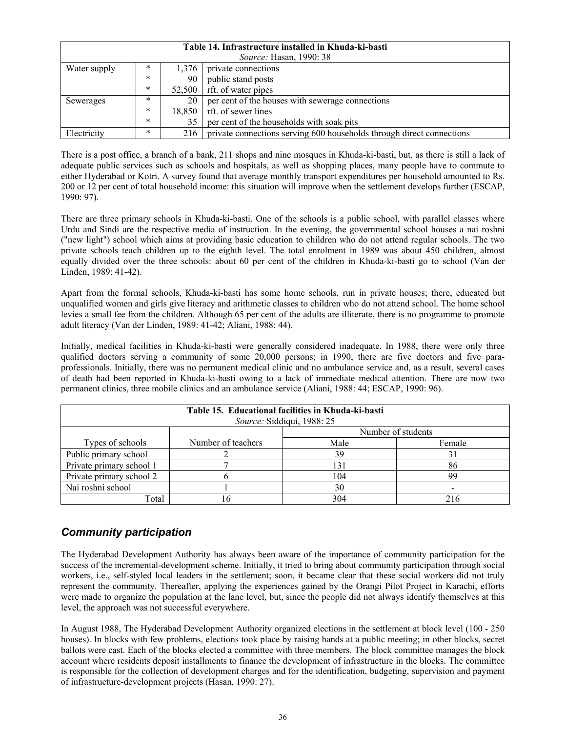| Table 14. Infrastructure installed in Khuda-ki-basti |                                    |        |                                                                       |  |  |  |  |
|------------------------------------------------------|------------------------------------|--------|-----------------------------------------------------------------------|--|--|--|--|
| <i>Source:</i> Hasan, 1990: 38                       |                                    |        |                                                                       |  |  |  |  |
| Water supply                                         | $\ast$                             | 1.376  | private connections                                                   |  |  |  |  |
|                                                      | *                                  | 90     | public stand posts                                                    |  |  |  |  |
|                                                      | *                                  | 52,500 | rft. of water pipes                                                   |  |  |  |  |
| Sewerages                                            | $\ast$                             | 20     | per cent of the houses with sewerage connections                      |  |  |  |  |
|                                                      | *<br>rft. of sewer lines<br>18.850 |        |                                                                       |  |  |  |  |
|                                                      | *                                  | 35     | per cent of the households with soak pits                             |  |  |  |  |
| Electricity                                          | $\ast$                             | 216    | private connections serving 600 households through direct connections |  |  |  |  |

There is a post office, a branch of a bank, 211 shops and nine mosques in Khuda-ki-basti, but, as there is still a lack of adequate public services such as schools and hospitals, as well as shopping places, many people have to commute to either Hyderabad or Kotri. A survey found that average monthly transport expenditures per household amounted to Rs. 200 or 12 per cent of total household income: this situation will improve when the settlement develops further (ESCAP, 1990: 97).

There are three primary schools in Khuda-ki-basti. One of the schools is a public school, with parallel classes where Urdu and Sindi are the respective media of instruction. In the evening, the governmental school houses a nai roshni ("new light") school which aims at providing basic education to children who do not attend regular schools. The two private schools teach children up to the eighth level. The total enrolment in 1989 was about 450 children, almost equally divided over the three schools: about 60 per cent of the children in Khuda-ki-basti go to school (Van der Linden, 1989: 41-42).

Apart from the formal schools, Khuda-ki-basti has some home schools, run in private houses; there, educated but unqualified women and girls give literacy and arithmetic classes to children who do not attend school. The home school levies a small fee from the children. Although 65 per cent of the adults are illiterate, there is no programme to promote adult literacy (Van der Linden, 1989: 41-42; Aliani, 1988: 44).

Initially, medical facilities in Khuda-ki-basti were generally considered inadequate. In 1988, there were only three qualified doctors serving a community of some 20,000 persons; in 1990, there are five doctors and five paraprofessionals. Initially, there was no permanent medical clinic and no ambulance service and, as a result, several cases of death had been reported in Khuda-ki-basti owing to a lack of immediate medical attention. There are now two permanent clinics, three mobile clinics and an ambulance service (Aliani, 1988: 44; ESCAP, 1990: 96).

| Table 15. Educational facilities in Khuda-ki-basti<br>Source: Siddiqui, 1988: 25 |                    |                    |        |  |  |  |
|----------------------------------------------------------------------------------|--------------------|--------------------|--------|--|--|--|
|                                                                                  |                    | Number of students |        |  |  |  |
| Types of schools                                                                 | Number of teachers | Male               | Female |  |  |  |
| Public primary school                                                            |                    | 39                 |        |  |  |  |
| Private primary school 1                                                         |                    | 131                | 86     |  |  |  |
| Private primary school 2                                                         |                    | 104                | 99     |  |  |  |
| Nai roshni school                                                                |                    | 30                 |        |  |  |  |
| Total                                                                            |                    | 304                |        |  |  |  |

# *Community participation*

The Hyderabad Development Authority has always been aware of the importance of community participation for the success of the incremental-development scheme. Initially, it tried to bring about community participation through social workers, i.e., self-styled local leaders in the settlement; soon, it became clear that these social workers did not truly represent the community. Thereafter, applying the experiences gained by the Orangi Pilot Project in Karachi, efforts were made to organize the population at the lane level, but, since the people did not always identify themselves at this level, the approach was not successful everywhere.

In August 1988, The Hyderabad Development Authority organized elections in the settlement at block level (100 - 250 houses). In blocks with few problems, elections took place by raising hands at a public meeting; in other blocks, secret ballots were cast. Each of the blocks elected a committee with three members. The block committee manages the block account where residents deposit installments to finance the development of infrastructure in the blocks. The committee is responsible for the collection of development charges and for the identification, budgeting, supervision and payment of infrastructure-development projects (Hasan, 1990: 27).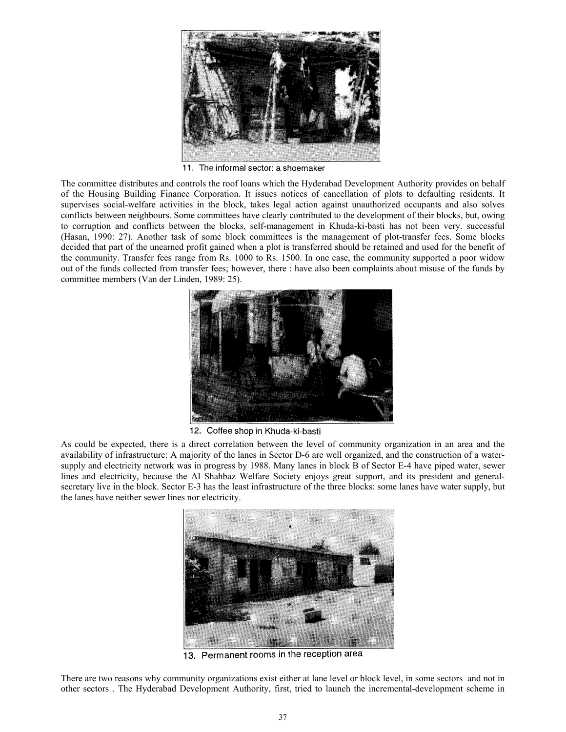

11. The informal sector: a shoemaker

The committee distributes and controls the roof loans which the Hyderabad Development Authority provides on behalf of the Housing Building Finance Corporation. It issues notices of cancellation of plots to defaulting residents. It supervises social-welfare activities in the block, takes legal action against unauthorized occupants and also solves conflicts between neighbours. Some committees have clearly contributed to the development of their blocks, but, owing to corruption and conflicts between the blocks, self-management in Khuda-ki-basti has not been very. successful (Hasan, 1990: 27). Another task of some block committees is the management of plot-transfer fees. Some blocks decided that part of the unearned profit gained when a plot is transferred should be retained and used for the benefit of the community. Transfer fees range from Rs. 1000 to Rs. 1500. In one case, the community supported a poor widow out of the funds collected from transfer fees; however, there : have also been complaints about misuse of the funds by committee members (Van der Linden, 1989: 25).



12. Coffee shop in Khuda-ki-basti

As could be expected, there is a direct correlation between the level of community organization in an area and the availability of infrastructure: A majority of the lanes in Sector D-6 are well organized, and the construction of a watersupply and electricity network was in progress by 1988. Many lanes in block B of Sector E-4 have piped water, sewer lines and electricity, because the Al Shahbaz Welfare Society enjoys great support, and its president and generalsecretary live in the block. Sector E-3 has the least infrastructure of the three blocks: some lanes have water supply, but the lanes have neither sewer lines nor electricity.



13. Permanent rooms in the reception area

There are two reasons why community organizations exist either at lane level or block level, in some sectors and not in other sectors . The Hyderabad Development Authority, first, tried to launch the incremental-development scheme in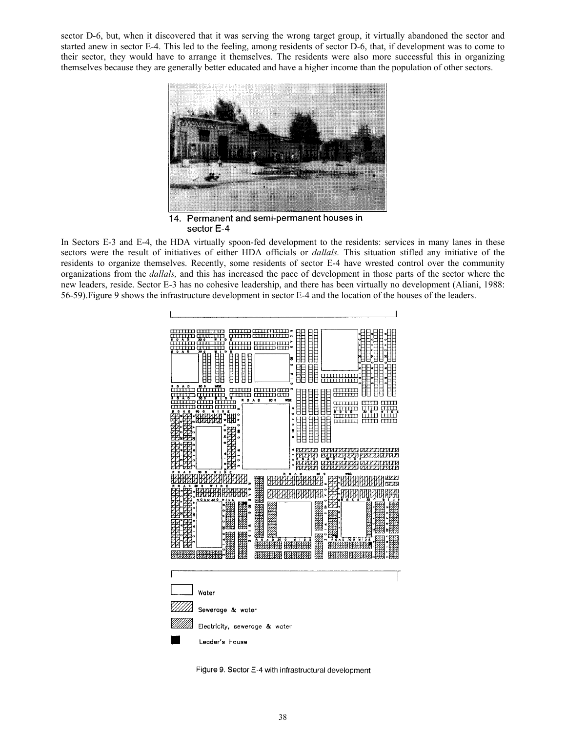sector D-6, but, when it discovered that it was serving the wrong target group, it virtually abandoned the sector and started anew in sector E-4. This led to the feeling, among residents of sector D-6, that, if development was to come to their sector, they would have to arrange it themselves. The residents were also more successful this in organizing themselves because they are generally better educated and have a higher income than the population of other sectors.



14. Permanent and semi-permanent houses in sector E-4

In Sectors E-3 and E-4, the HDA virtually spoon-fed development to the residents: services in many lanes in these sectors were the result of initiatives of either HDA officials or *dallals.* This situation stifled any initiative of the residents to organize themselves. Recently, some residents of sector E-4 have wrested control over the community organizations from the *dallals,* and this has increased the pace of development in those parts of the sector where the new leaders, reside. Sector E-3 has no cohesive leadership, and there has been virtually no development (Aliani, 1988: 56-59).Figure 9 shows the infrastructure development in sector E-4 and the location of the houses of the leaders.



Figure 9. Sector E-4 with infrastructural development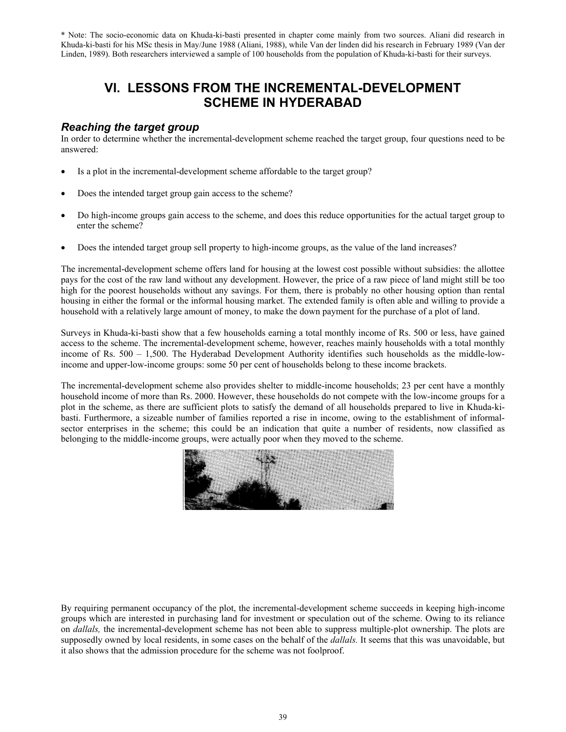\* Note: The socio-economic data on Khuda-ki-basti presented in chapter come mainly from two sources. Aliani did research in Khuda-ki-basti for his MSc thesis in May/June 1988 (Aliani, 1988), while Van der linden did his research in February 1989 (Van der Linden, 1989). Both researchers interviewed a sample of 100 households from the population of Khuda-ki-basti for their surveys.

# **VI. LESSONS FROM THE INCREMENTAL-DEVELOPMENT SCHEME IN HYDERABAD**

## *Reaching the target group*

In order to determine whether the incremental-development scheme reached the target group, four questions need to be answered:

- Is a plot in the incremental-development scheme affordable to the target group?
- Does the intended target group gain access to the scheme?
- Do high-income groups gain access to the scheme, and does this reduce opportunities for the actual target group to enter the scheme?
- Does the intended target group sell property to high-income groups, as the value of the land increases?

The incremental-development scheme offers land for housing at the lowest cost possible without subsidies: the allottee pays for the cost of the raw land without any development. However, the price of a raw piece of land might still be too high for the poorest households without any savings. For them, there is probably no other housing option than rental housing in either the formal or the informal housing market. The extended family is often able and willing to provide a household with a relatively large amount of money, to make the down payment for the purchase of a plot of land.

Surveys in Khuda-ki-basti show that a few households earning a total monthly income of Rs. 500 or less, have gained access to the scheme. The incremental-development scheme, however, reaches mainly households with a total monthly income of Rs. 500 – 1,500. The Hyderabad Development Authority identifies such households as the middle-lowincome and upper-low-income groups: some 50 per cent of households belong to these income brackets.

The incremental-development scheme also provides shelter to middle-income households; 23 per cent have a monthly household income of more than Rs. 2000. However, these households do not compete with the low-income groups for a plot in the scheme, as there are sufficient plots to satisfy the demand of all households prepared to live in Khuda-kibasti. Furthermore, a sizeable number of families reported a rise in income, owing to the establishment of informalsector enterprises in the scheme; this could be an indication that quite a number of residents, now classified as belonging to the middle-income groups, were actually poor when they moved to the scheme.



By requiring permanent occupancy of the plot, the incremental-development scheme succeeds in keeping high-income groups which are interested in purchasing land for investment or speculation out of the scheme. Owing to its reliance on *dallals,* the incremental-development scheme has not been able to suppress multiple-plot ownership. The plots are supposedly owned by local residents, in some cases on the behalf of the *dallals.* It seems that this was unavoidable, but it also shows that the admission procedure for the scheme was not foolproof.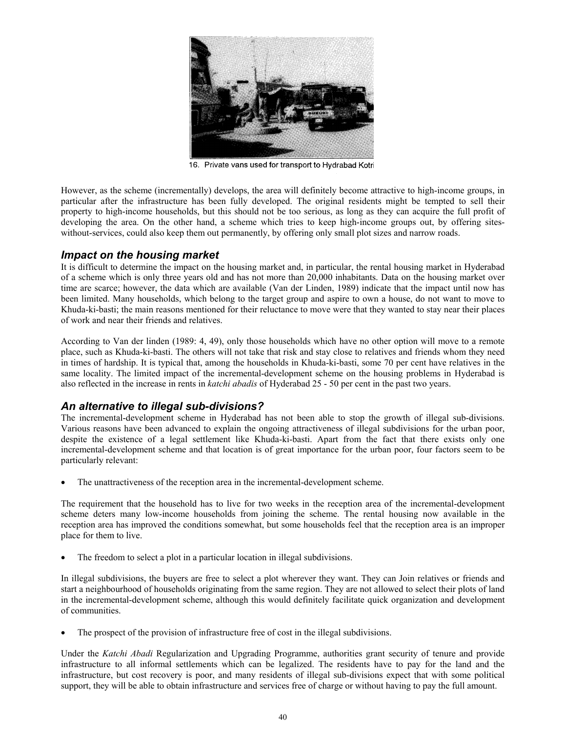

16. Private vans used for transport to Hydrabad Kotri

However, as the scheme (incrementally) develops, the area will definitely become attractive to high-income groups, in particular after the infrastructure has been fully developed. The original residents might be tempted to sell their property to high-income households, but this should not be too serious, as long as they can acquire the full profit of developing the area. On the other hand, a scheme which tries to keep high-income groups out, by offering siteswithout-services, could also keep them out permanently, by offering only small plot sizes and narrow roads.

#### *Impact on the housing market*

It is difficult to determine the impact on the housing market and, in particular, the rental housing market in Hyderabad of a scheme which is only three years old and has not more than 20,000 inhabitants. Data on the housing market over time are scarce; however, the data which are available (Van der Linden, 1989) indicate that the impact until now has been limited. Many households, which belong to the target group and aspire to own a house, do not want to move to Khuda-ki-basti; the main reasons mentioned for their reluctance to move were that they wanted to stay near their places of work and near their friends and relatives.

According to Van der linden (1989: 4, 49), only those households which have no other option will move to a remote place, such as Khuda-ki-basti. The others will not take that risk and stay close to relatives and friends whom they need in times of hardship. It is typical that, among the households in Khuda-ki-basti, some 70 per cent have relatives in the same locality. The limited impact of the incremental-development scheme on the housing problems in Hyderabad is also reflected in the increase in rents in *katchi abadis* of Hyderabad 25 - 50 per cent in the past two years.

## *An alternative to illegal sub-divisions?*

The incremental-development scheme in Hyderabad has not been able to stop the growth of illegal sub-divisions. Various reasons have been advanced to explain the ongoing attractiveness of illegal subdivisions for the urban poor, despite the existence of a legal settlement like Khuda-ki-basti. Apart from the fact that there exists only one incremental-development scheme and that location is of great importance for the urban poor, four factors seem to be particularly relevant:

The unattractiveness of the reception area in the incremental-development scheme.

The requirement that the household has to live for two weeks in the reception area of the incremental-development scheme deters many low-income households from joining the scheme. The rental housing now available in the reception area has improved the conditions somewhat, but some households feel that the reception area is an improper place for them to live.

The freedom to select a plot in a particular location in illegal subdivisions.

In illegal subdivisions, the buyers are free to select a plot wherever they want. They can Join relatives or friends and start a neighbourhood of households originating from the same region. They are not allowed to select their plots of land in the incremental-development scheme, although this would definitely facilitate quick organization and development of communities.

The prospect of the provision of infrastructure free of cost in the illegal subdivisions.

Under the *Katchi Abadi* Regularization and Upgrading Programme, authorities grant security of tenure and provide infrastructure to all informal settlements which can be legalized. The residents have to pay for the land and the infrastructure, but cost recovery is poor, and many residents of illegal sub-divisions expect that with some political support, they will be able to obtain infrastructure and services free of charge or without having to pay the full amount.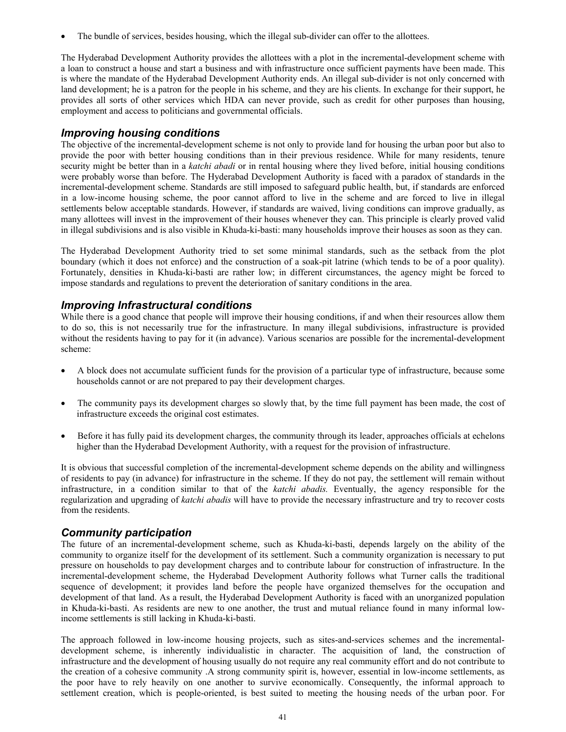The bundle of services, besides housing, which the illegal sub-divider can offer to the allottees.

The Hyderabad Development Authority provides the allottees with a plot in the incremental-development scheme with a loan to construct a house and start a business and with infrastructure once sufficient payments have been made. This is where the mandate of the Hyderabad Development Authority ends. An illegal sub-divider is not only concerned with land development; he is a patron for the people in his scheme, and they are his clients. In exchange for their support, he provides all sorts of other services which HDA can never provide, such as credit for other purposes than housing, employment and access to politicians and governmental officials.

#### *Improving housing conditions*

The objective of the incremental-development scheme is not only to provide land for housing the urban poor but also to provide the poor with better housing conditions than in their previous residence. While for many residents, tenure security might be better than in a *katchi abadi* or in rental housing where they lived before, initial housing conditions were probably worse than before. The Hyderabad Development Authority is faced with a paradox of standards in the incremental-development scheme. Standards are still imposed to safeguard public health, but, if standards are enforced in a low-income housing scheme, the poor cannot afford to live in the scheme and are forced to live in illegal settlements below acceptable standards. However, if standards are waived, living conditions can improve gradually, as many allottees will invest in the improvement of their houses whenever they can. This principle is clearly proved valid in illegal subdivisions and is also visible in Khuda-ki-basti: many households improve their houses as soon as they can.

The Hyderabad Development Authority tried to set some minimal standards, such as the setback from the plot boundary (which it does not enforce) and the construction of a soak-pit latrine (which tends to be of a poor quality). Fortunately, densities in Khuda-ki-basti are rather low; in different circumstances, the agency might be forced to impose standards and regulations to prevent the deterioration of sanitary conditions in the area.

#### *Improving Infrastructural conditions*

While there is a good chance that people will improve their housing conditions, if and when their resources allow them to do so, this is not necessarily true for the infrastructure. In many illegal subdivisions, infrastructure is provided without the residents having to pay for it (in advance). Various scenarios are possible for the incremental-development scheme:

- A block does not accumulate sufficient funds for the provision of a particular type of infrastructure, because some households cannot or are not prepared to pay their development charges.
- The community pays its development charges so slowly that, by the time full payment has been made, the cost of infrastructure exceeds the original cost estimates.
- Before it has fully paid its development charges, the community through its leader, approaches officials at echelons higher than the Hyderabad Development Authority, with a request for the provision of infrastructure.

It is obvious that successful completion of the incremental-development scheme depends on the ability and willingness of residents to pay (in advance) for infrastructure in the scheme. If they do not pay, the settlement will remain without infrastructure, in a condition similar to that of the *katchi abadis.* Eventually, the agency responsible for the regularization and upgrading of *katchi abadis* will have to provide the necessary infrastructure and try to recover costs from the residents.

#### *Community participation*

The future of an incremental-development scheme, such as Khuda-ki-basti, depends largely on the ability of the community to organize itself for the development of its settlement. Such a community organization is necessary to put pressure on households to pay development charges and to contribute labour for construction of infrastructure. In the incremental-development scheme, the Hyderabad Development Authority follows what Turner calls the traditional sequence of development; it provides land before the people have organized themselves for the occupation and development of that land. As a result, the Hyderabad Development Authority is faced with an unorganized population in Khuda-ki-basti. As residents are new to one another, the trust and mutual reliance found in many informal lowincome settlements is still lacking in Khuda-ki-basti.

The approach followed in low-income housing projects, such as sites-and-services schemes and the incrementaldevelopment scheme, is inherently individualistic in character. The acquisition of land, the construction of infrastructure and the development of housing usually do not require any real community effort and do not contribute to the creation of a cohesive community .A strong community spirit is, however, essential in low-income settlements, as the poor have to rely heavily on one another to survive economically. Consequently, the informal approach to settlement creation, which is people-oriented, is best suited to meeting the housing needs of the urban poor. For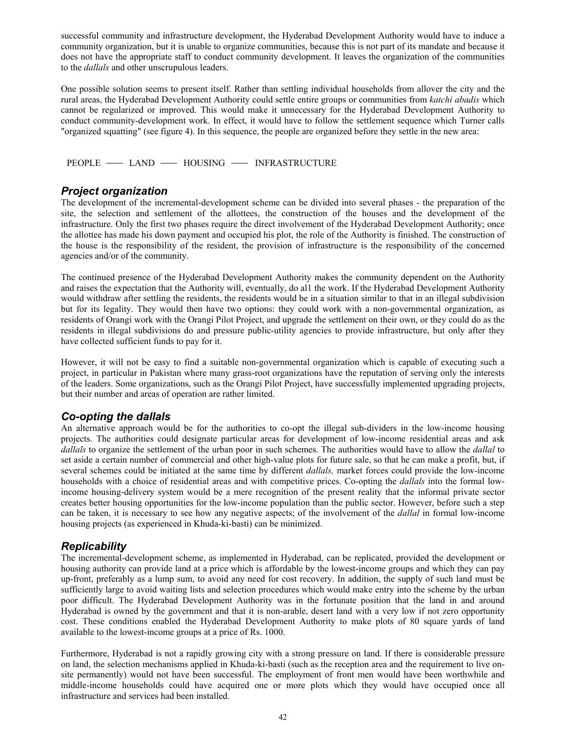successful community and infrastructure development, the Hyderabad Development Authority would have to induce a community organization, but it is unable to organize communities, because this is not part of its mandate and because it does not have the appropriate staff to conduct community development. It leaves the organization of the communities to the *dallals* and other unscrupulous leaders.

One possible solution seems to present itself. Rather than settling individual households from allover the city and the rural areas, the Hyderabad Development Authority could settle entire groups or communities from *katchi abadis* which cannot be regularized or improved. This would make it unnecessary for the Hyderabad Development Authority to conduct community-development work. In effect, it would have to follow the settlement sequence which Turner calls "organized squatting" (see figure 4). In this sequence, the people are organized before they settle in the new area:

PEOPLE - LAND - HOUSING - INFRASTRUCTURE

#### *Project organization*

The development of the incremental-development scheme can be divided into several phases - the preparation of the site, the selection and settlement of the allottees, the construction of the houses and the development of the infrastructure. Only the first two phases require the direct involvement of the Hyderabad Development Authority; once the allottee has made his down payment and occupied his plot, the role of the Authority is finished. The construction of the house is the responsibility of the resident, the provision of infrastructure is the responsibility of the concerned agencies and/or of the community.

The continued presence of the Hyderabad Development Authority makes the community dependent on the Authority and raises the expectation that the Authority will, eventually, do al1 the work. If the Hyderabad Development Authority would withdraw after settling the residents, the residents would be in a situation similar to that in an illegal subdivision but for its legality. They would then have two options: they could work with a non-governmental organization, as residents of Orangi work with the Orangi Pilot Project, and upgrade the settlement on their own, or they could do as the residents in illegal subdivisions do and pressure public-utility agencies to provide infrastructure, but only after they have collected sufficient funds to pay for it.

However, it will not be easy to find a suitable non-governmental organization which is capable of executing such a project, in particular in Pakistan where many grass-root organizations have the reputation of serving only the interests of the leaders. Some organizations, such as the Orangi Pilot Project, have successfully implemented upgrading projects, but their number and areas of operation are rather limited.

## *Co-opting the dallals*

An alternative approach would be for the authorities to co-opt the illegal sub-dividers in the low-income housing projects. The authorities could designate particular areas for development of low-income residential areas and ask *dallals* to organize the settlement of the urban poor in such schemes. The authorities would have to allow the *dallal* to set aside a certain number of commercial and other high-value plots for future sale, so that he can make a profit, but, if several schemes could be initiated at the same time by different *dallals,* market forces could provide the low-income households with a choice of residential areas and with competitive prices. Co-opting the *dallals* into the formal lowincome housing-delivery system would be a mere recognition of the present reality that the informal private sector creates better housing opportunities for the low-income population than the public sector. However, before such a step can be taken, it is necessary to see how any negative aspects; of the involvement of the *dallal* in formal low-income housing projects (as experienced in Khuda-ki-basti) can be minimized.

## *Replicability*

The incremental-development scheme, as implemented in Hyderabad, can be replicated, provided the development or housing authority can provide land at a price which is affordable by the lowest-income groups and which they can pay up-front, preferably as a lump sum, to avoid any need for cost recovery. In addition, the supply of such land must be sufficiently large to avoid waiting lists and selection procedures which would make entry into the scheme by the urban poor difficult. The Hyderabad Development Authority was in the fortunate position that the land in and around Hyderabad is owned by the government and that it is non-arable, desert land with a very low if not zero opportunity cost. These conditions enabled the Hyderabad Development Authority to make plots of 80 square yards of land available to the lowest-income groups at a price of Rs. 1000.

Furthermore, Hyderabad is not a rapidly growing city with a strong pressure on land. If there is considerable pressure on land, the selection mechanisms applied in Khuda-ki-basti (such as the reception area and the requirement to live onsite permanently) would not have been successful. The employment of front men would have been worthwhile and middle-income households could have acquired one or more plots which they would have occupied once all infrastructure and services had been installed.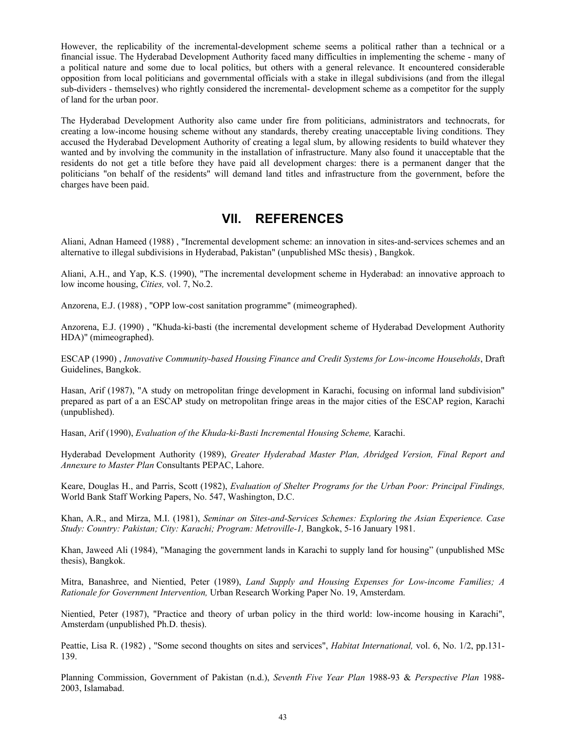However, the replicability of the incremental-development scheme seems a political rather than a technical or a financial issue. The Hyderabad Development Authority faced many difficulties in implementing the scheme - many of a political nature and some due to local politics, but others with a general relevance. It encountered considerable opposition from local politicians and governmental officials with a stake in illegal subdivisions (and from the illegal sub-dividers - themselves) who rightly considered the incremental- development scheme as a competitor for the supply of land for the urban poor.

The Hyderabad Development Authority also came under fire from politicians, administrators and technocrats, for creating a low-income housing scheme without any standards, thereby creating unacceptable living conditions. They accused the Hyderabad Development Authority of creating a legal slum, by allowing residents to build whatever they wanted and by involving the community in the installation of infrastructure. Many also found it unacceptable that the residents do not get a title before they have paid all development charges: there is a permanent danger that the politicians "on behalf of the residents" will demand land titles and infrastructure from the government, before the charges have been paid.

## **VII. REFERENCES**

Aliani, Adnan Hameed (1988) , "Incremental development scheme: an innovation in sites-and-services schemes and an alternative to illegal subdivisions in Hyderabad, Pakistan" (unpublished MSc thesis) , Bangkok.

Aliani, A.H., and Yap, K.S. (1990), "The incremental development scheme in Hyderabad: an innovative approach to low income housing, *Cities,* vol. 7, No.2.

Anzorena, E.J. (1988) , "OPP low-cost sanitation programme" (mimeographed).

Anzorena, E.J. (1990) , "Khuda-ki-basti (the incremental development scheme of Hyderabad Development Authority HDA)" (mimeographed).

ESCAP (1990) , *Innovative Community-based Housing Finance and Credit Systems for Low-income Households*, Draft Guidelines, Bangkok.

Hasan, Arif (1987), "A study on metropolitan fringe development in Karachi, focusing on informal land subdivision" prepared as part of a an ESCAP study on metropolitan fringe areas in the major cities of the ESCAP region, Karachi (unpublished).

Hasan, Arif (1990), *Evaluation of the Khuda-ki-Basti Incremental Housing Scheme,* Karachi.

Hyderabad Development Authority (1989), *Greater Hyderabad Master Plan, Abridged Version, Final Report and Annexure to Master Plan* Consultants PEPAC, Lahore.

Keare, Douglas H., and Parris, Scott (1982), *Evaluation of Shelter Programs for the Urban Poor: Principal Findings,* World Bank Staff Working Papers, No. 547, Washington, D.C.

Khan, A.R., and Mirza, M.I. (1981), *Seminar on Sites-and-Services Schemes: Exploring the Asian Experience. Case Study: Country: Pakistan; City: Karachi; Program: Metroville-1,* Bangkok, 5-16 January 1981.

Khan, Jaweed Ali (1984), "Managing the government lands in Karachi to supply land for housing" (unpublished MSc thesis), Bangkok.

Mitra, Banashree, and Nientied, Peter (1989), *Land Supply and Housing Expenses for Low-income Families; A Rationale for Government Intervention,* Urban Research Working Paper No. 19, Amsterdam.

Nientied, Peter (1987), "Practice and theory of urban policy in the third world: low-income housing in Karachi", Amsterdam (unpublished Ph.D. thesis).

Peattie, Lisa R. (1982) , "Some second thoughts on sites and services", *Habitat International,* vol. 6, No. 1/2, pp.131- 139.

Planning Commission, Government of Pakistan (n.d.), *Seventh Five Year Plan* 1988-93 & *Perspective Plan* 1988- 2003, Islamabad.